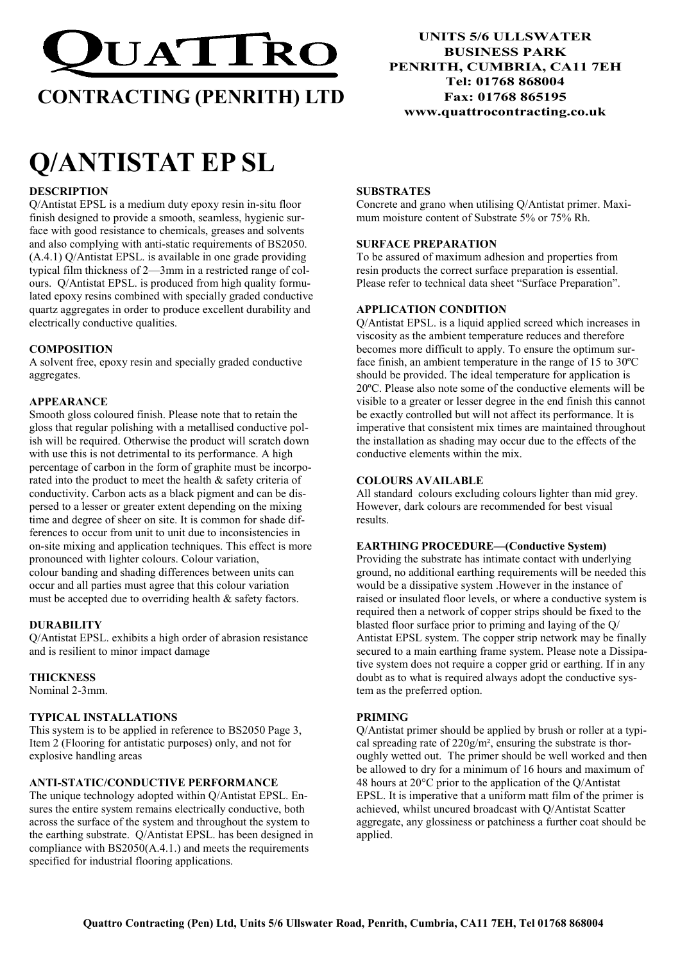

# CONTRACTING (PENRITH) LTD

# Q/ANTISTAT EP SL

# **DESCRIPTION**

Q/Antistat EPSL is a medium duty epoxy resin in-situ floor finish designed to provide a smooth, seamless, hygienic surface with good resistance to chemicals, greases and solvents and also complying with anti-static requirements of BS2050. (A.4.1) Q/Antistat EPSL. is available in one grade providing typical film thickness of 2—3mm in a restricted range of colours. Q/Antistat EPSL. is produced from high quality formulated epoxy resins combined with specially graded conductive quartz aggregates in order to produce excellent durability and electrically conductive qualities.

# **COMPOSITION**

A solvent free, epoxy resin and specially graded conductive aggregates.

# APPEARANCE

Smooth gloss coloured finish. Please note that to retain the gloss that regular polishing with a metallised conductive polish will be required. Otherwise the product will scratch down with use this is not detrimental to its performance. A high percentage of carbon in the form of graphite must be incorporated into the product to meet the health & safety criteria of conductivity. Carbon acts as a black pigment and can be dispersed to a lesser or greater extent depending on the mixing time and degree of sheer on site. It is common for shade differences to occur from unit to unit due to inconsistencies in on-site mixing and application techniques. This effect is more pronounced with lighter colours. Colour variation, colour banding and shading differences between units can occur and all parties must agree that this colour variation must be accepted due to overriding health & safety factors.

# DURABILITY

Q/Antistat EPSL. exhibits a high order of abrasion resistance and is resilient to minor impact damage

# **THICKNESS**

Nominal 2-3mm.

# TYPICAL INSTALLATIONS

This system is to be applied in reference to BS2050 Page 3, Item 2 (Flooring for antistatic purposes) only, and not for explosive handling areas

# ANTI-STATIC/CONDUCTIVE PERFORMANCE

The unique technology adopted within Q/Antistat EPSL. Ensures the entire system remains electrically conductive, both across the surface of the system and throughout the system to the earthing substrate. Q/Antistat EPSL. has been designed in compliance with BS2050(A.4.1.) and meets the requirements specified for industrial flooring applications.

UNITS 5/6 ULLSWATER BUSINESS PARK PENRITH, CUMBRIA, CA11 7EH Tel: 01768 868004 Fax: 01768 865195 www.quattrocontracting.co.uk

### **SUBSTRATES**

Concrete and grano when utilising Q/Antistat primer. Maximum moisture content of Substrate 5% or 75% Rh.

# SURFACE PREPARATION

To be assured of maximum adhesion and properties from resin products the correct surface preparation is essential. Please refer to technical data sheet "Surface Preparation".

# APPLICATION CONDITION

Q/Antistat EPSL. is a liquid applied screed which increases in viscosity as the ambient temperature reduces and therefore becomes more difficult to apply. To ensure the optimum surface finish, an ambient temperature in the range of 15 to 30ºC should be provided. The ideal temperature for application is 20ºC. Please also note some of the conductive elements will be visible to a greater or lesser degree in the end finish this cannot be exactly controlled but will not affect its performance. It is imperative that consistent mix times are maintained throughout the installation as shading may occur due to the effects of the conductive elements within the mix.

#### COLOURS AVAILABLE

All standard colours excluding colours lighter than mid grey. However, dark colours are recommended for best visual results.

#### EARTHING PROCEDURE—(Conductive System)

Providing the substrate has intimate contact with underlying ground, no additional earthing requirements will be needed this would be a dissipative system .However in the instance of raised or insulated floor levels, or where a conductive system is required then a network of copper strips should be fixed to the blasted floor surface prior to priming and laying of the Q/ Antistat EPSL system. The copper strip network may be finally secured to a main earthing frame system. Please note a Dissipative system does not require a copper grid or earthing. If in any doubt as to what is required always adopt the conductive system as the preferred option.

#### PRIMING

Q/Antistat primer should be applied by brush or roller at a typical spreading rate of 220g/m², ensuring the substrate is thoroughly wetted out. The primer should be well worked and then be allowed to dry for a minimum of 16 hours and maximum of 48 hours at 20°C prior to the application of the Q/Antistat EPSL. It is imperative that a uniform matt film of the primer is achieved, whilst uncured broadcast with Q/Antistat Scatter aggregate, any glossiness or patchiness a further coat should be applied.